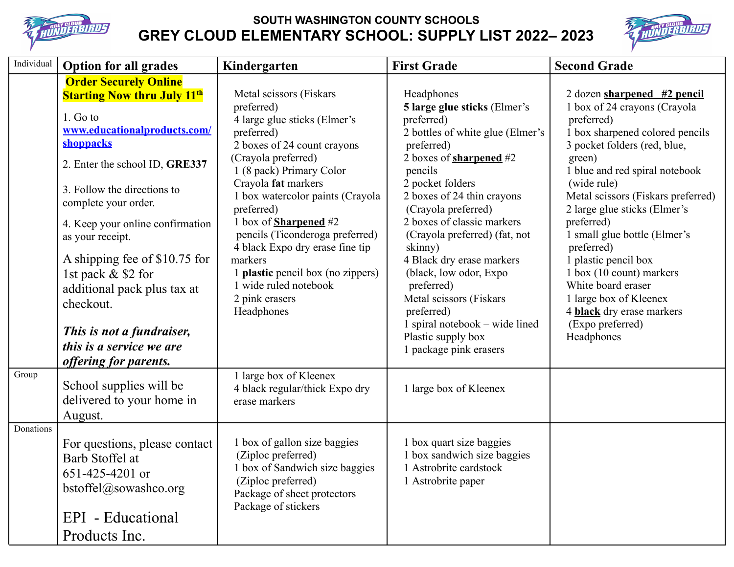

## **SOUTH WASHINGTON COUNTY SCHOOLS GREY CLOUD ELEMENTARY SCHOOL: SUPPLY LIST 2022– 2023**



| Individual | <b>Option for all grades</b>                                                                                                                                                                                                                                                                                                                                                                                                                                      | Kindergarten                                                                                                                                                                                                                                                                                                                                                                                                                                                         | <b>First Grade</b>                                                                                                                                                                                                                                                                                                                                                                                                                                                                                           | <b>Second Grade</b>                                                                                                                                                                                                                                                                                                                                                                                                                                                                                                   |
|------------|-------------------------------------------------------------------------------------------------------------------------------------------------------------------------------------------------------------------------------------------------------------------------------------------------------------------------------------------------------------------------------------------------------------------------------------------------------------------|----------------------------------------------------------------------------------------------------------------------------------------------------------------------------------------------------------------------------------------------------------------------------------------------------------------------------------------------------------------------------------------------------------------------------------------------------------------------|--------------------------------------------------------------------------------------------------------------------------------------------------------------------------------------------------------------------------------------------------------------------------------------------------------------------------------------------------------------------------------------------------------------------------------------------------------------------------------------------------------------|-----------------------------------------------------------------------------------------------------------------------------------------------------------------------------------------------------------------------------------------------------------------------------------------------------------------------------------------------------------------------------------------------------------------------------------------------------------------------------------------------------------------------|
|            | <b>Order Securely Online</b><br><b>Starting Now thru July 11th</b><br>1. Go to<br>www.educationalproducts.com/<br>shoppacks<br>2. Enter the school ID, GRE337<br>3. Follow the directions to<br>complete your order.<br>4. Keep your online confirmation<br>as your receipt.<br>A shipping fee of \$10.75 for<br>1st pack & \$2 for<br>additional pack plus tax at<br>checkout.<br>This is not a fundraiser,<br>this is a service we are<br>offering for parents. | Metal scissors (Fiskars<br>preferred)<br>4 large glue sticks (Elmer's<br>preferred)<br>2 boxes of 24 count crayons<br>(Crayola preferred)<br>1 (8 pack) Primary Color<br>Crayola fat markers<br>1 box watercolor paints (Crayola<br>preferred)<br>1 box of <b>Sharpened</b> #2<br>pencils (Ticonderoga preferred)<br>4 black Expo dry erase fine tip<br>markers<br>1 <b>plastic</b> pencil box (no zippers)<br>1 wide ruled notebook<br>2 pink erasers<br>Headphones | Headphones<br>5 large glue sticks (Elmer's<br>preferred)<br>2 bottles of white glue (Elmer's<br>preferred)<br>2 boxes of <b>sharpened</b> $#2$<br>pencils<br>2 pocket folders<br>2 boxes of 24 thin crayons<br>(Crayola preferred)<br>2 boxes of classic markers<br>(Crayola preferred) (fat, not<br>skinny)<br>4 Black dry erase markers<br>(black, low odor, Expo<br>preferred)<br>Metal scissors (Fiskars<br>preferred)<br>1 spiral notebook – wide lined<br>Plastic supply box<br>1 package pink erasers | $2$ dozen sharpened #2 pencil<br>1 box of 24 crayons (Crayola<br>preferred)<br>1 box sharpened colored pencils<br>3 pocket folders (red, blue,<br>green)<br>1 blue and red spiral notebook<br>(wide rule)<br>Metal scissors (Fiskars preferred)<br>2 large glue sticks (Elmer's<br>preferred)<br>1 small glue bottle (Elmer's<br>preferred)<br>1 plastic pencil box<br>1 box (10 count) markers<br>White board eraser<br>1 large box of Kleenex<br>4 <b>black</b> dry erase markers<br>(Expo preferred)<br>Headphones |
| Group      | School supplies will be<br>delivered to your home in<br>August.                                                                                                                                                                                                                                                                                                                                                                                                   | 1 large box of Kleenex<br>4 black regular/thick Expo dry<br>erase markers                                                                                                                                                                                                                                                                                                                                                                                            | 1 large box of Kleenex                                                                                                                                                                                                                                                                                                                                                                                                                                                                                       |                                                                                                                                                                                                                                                                                                                                                                                                                                                                                                                       |
| Donations  | For questions, please contact<br>Barb Stoffel at<br>651-425-4201 or<br>bstoffel@sowashco.org<br>EPI - Educational<br>Products Inc.                                                                                                                                                                                                                                                                                                                                | 1 box of gallon size baggies<br>(Ziploc preferred)<br>1 box of Sandwich size baggies<br>(Ziploc preferred)<br>Package of sheet protectors<br>Package of stickers                                                                                                                                                                                                                                                                                                     | 1 box quart size baggies<br>1 box sandwich size baggies<br>1 Astrobrite cardstock<br>1 Astrobrite paper                                                                                                                                                                                                                                                                                                                                                                                                      |                                                                                                                                                                                                                                                                                                                                                                                                                                                                                                                       |